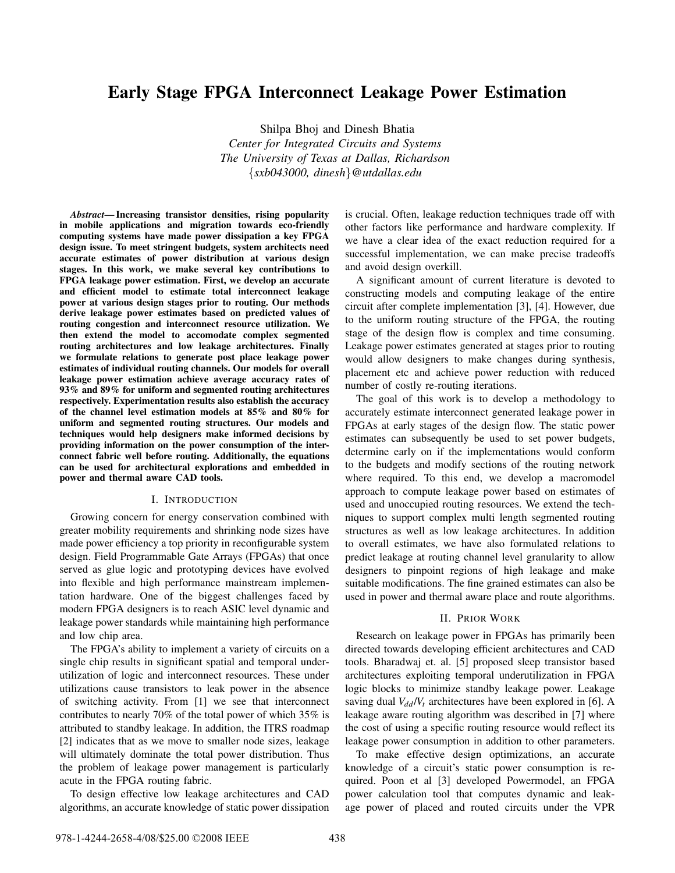# **Early Stage FPGA Interconnect Leakage Power Estimation**

Shilpa Bhoj and Dinesh Bhatia *Center for Integrated Circuits and Systems The University of Texas at Dallas, Richardson* {*sxb043000, dinesh*}*@utdallas.edu*

*Abstract***— Increasing transistor densities, rising popularity in mobile applications and migration towards eco-friendly computing systems have made power dissipation a key FPGA design issue. To meet stringent budgets, system architects need accurate estimates of power distribution at various design stages. In this work, we make several key contributions to FPGA leakage power estimation. First, we develop an accurate and efficient model to estimate total interconnect leakage power at various design stages prior to routing. Our methods derive leakage power estimates based on predicted values of routing congestion and interconnect resource utilization. We then extend the model to accomodate complex segmented routing architectures and low leakage architectures. Finally we formulate relations to generate post place leakage power estimates of individual routing channels. Our models for overall leakage power estimation achieve average accuracy rates of 93% and 89% for uniform and segmented routing architectures respectively. Experimentation results also establish the accuracy of the channel level estimation models at 85% and 80% for uniform and segmented routing structures. Our models and techniques would help designers make informed decisions by providing information on the power consumption of the interconnect fabric well before routing. Additionally, the equations can be used for architectural explorations and embedded in power and thermal aware CAD tools.**

### I. INTRODUCTION

Growing concern for energy conservation combined with greater mobility requirements and shrinking node sizes have made power efficiency a top priority in reconfigurable system design. Field Programmable Gate Arrays (FPGAs) that once served as glue logic and prototyping devices have evolved into flexible and high performance mainstream implementation hardware. One of the biggest challenges faced by modern FPGA designers is to reach ASIC level dynamic and leakage power standards while maintaining high performance and low chip area.

The FPGA's ability to implement a variety of circuits on a single chip results in significant spatial and temporal underutilization of logic and interconnect resources. These under utilizations cause transistors to leak power in the absence of switching activity. From [1] we see that interconnect contributes to nearly 70% of the total power of which 35% is attributed to standby leakage. In addition, the ITRS roadmap [2] indicates that as we move to smaller node sizes, leakage will ultimately dominate the total power distribution. Thus the problem of leakage power management is particularly acute in the FPGA routing fabric.

To design effective low leakage architectures and CAD algorithms, an accurate knowledge of static power dissipation is crucial. Often, leakage reduction techniques trade off with other factors like performance and hardware complexity. If we have a clear idea of the exact reduction required for a successful implementation, we can make precise tradeoffs and avoid design overkill.

A significant amount of current literature is devoted to constructing models and computing leakage of the entire circuit after complete implementation [3], [4]. However, due to the uniform routing structure of the FPGA, the routing stage of the design flow is complex and time consuming. Leakage power estimates generated at stages prior to routing would allow designers to make changes during synthesis, placement etc and achieve power reduction with reduced number of costly re-routing iterations.

The goal of this work is to develop a methodology to accurately estimate interconnect generated leakage power in FPGAs at early stages of the design flow. The static power estimates can subsequently be used to set power budgets, determine early on if the implementations would conform to the budgets and modify sections of the routing network where required. To this end, we develop a macromodel approach to compute leakage power based on estimates of used and unoccupied routing resources. We extend the techniques to support complex multi length segmented routing structures as well as low leakage architectures. In addition to overall estimates, we have also formulated relations to predict leakage at routing channel level granularity to allow designers to pinpoint regions of high leakage and make suitable modifications. The fine grained estimates can also be used in power and thermal aware place and route algorithms.

#### II. PRIOR WORK

Research on leakage power in FPGAs has primarily been directed towards developing efficient architectures and CAD tools. Bharadwaj et. al. [5] proposed sleep transistor based architectures exploiting temporal underutilization in FPGA logic blocks to minimize standby leakage power. Leakage saving dual  $V_{dd}/V_t$  architectures have been explored in [6]. A leakage aware routing algorithm was described in [7] where the cost of using a specific routing resource would reflect its leakage power consumption in addition to other parameters.

To make effective design optimizations, an accurate knowledge of a circuit's static power consumption is required. Poon et al [3] developed Powermodel, an FPGA power calculation tool that computes dynamic and leakage power of placed and routed circuits under the VPR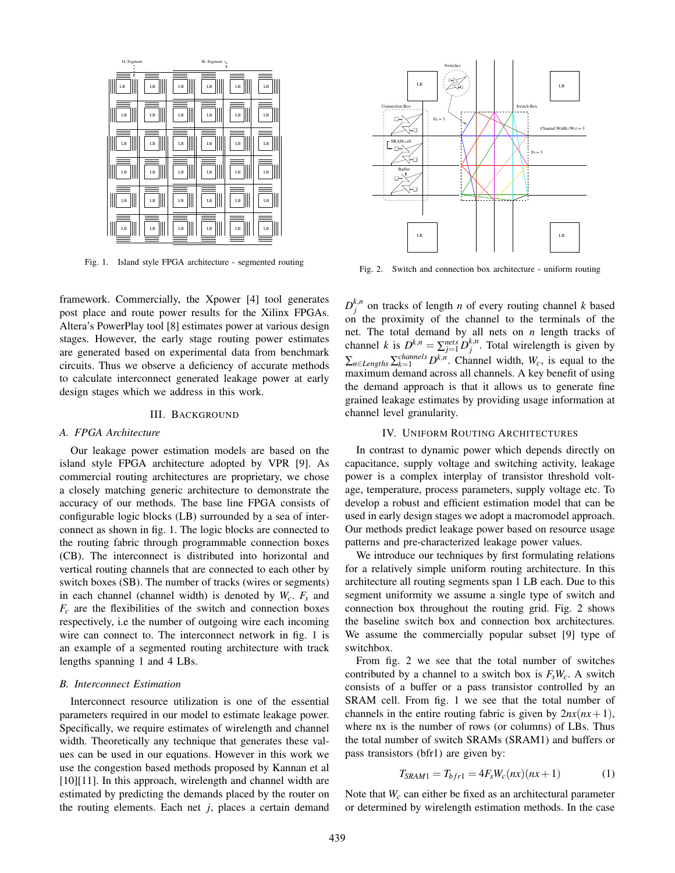

Fig. 1. Island style FPGA architecture - segmented routing

framework. Commercially, the Xpower [4] tool generates post place and route power results for the Xilinx FPGAs. Altera's PowerPlay tool [8] estimates power at various design stages. However, the early stage routing power estimates are generated based on experimental data from benchmark circuits. Thus we observe a deficiency of accurate methods to calculate interconnect generated leakage power at early design stages which we address in this work.

#### III. BACKGROUND

#### *A. FPGA Architecture*

Our leakage power estimation models are based on the island style FPGA architecture adopted by VPR [9]. As commercial routing architectures are proprietary, we chose a closely matching generic architecture to demonstrate the accuracy of our methods. The base line FPGA consists of configurable logic blocks (LB) surrounded by a sea of interconnect as shown in fig. 1. The logic blocks are connected to the routing fabric through programmable connection boxes (CB). The interconnect is distributed into horizontal and vertical routing channels that are connected to each other by switch boxes (SB). The number of tracks (wires or segments) in each channel (channel width) is denoted by *Wc*. *Fs* and  $F_c$  are the flexibilities of the switch and connection boxes respectively, i.e the number of outgoing wire each incoming wire can connect to. The interconnect network in fig. 1 is an example of a segmented routing architecture with track lengths spanning 1 and 4 LBs.

### *B. Interconnect Estimation*

Interconnect resource utilization is one of the essential parameters required in our model to estimate leakage power. Specifically, we require estimates of wirelength and channel width. Theoretically any technique that generates these values can be used in our equations. However in this work we use the congestion based methods proposed by Kannan et al [10][11]. In this approach, wirelength and channel width are estimated by predicting the demands placed by the router on the routing elements. Each net *j*, places a certain demand



Fig. 2. Switch and connection box architecture - uniform routing

 $D_j^{k,n}$  on tracks of length *n* of every routing channel *k* based on the proximity of the channel to the terminals of the net. The total demand by all nets on *n* length tracks of channel *k* is  $D^{k,n} = \sum_{j=1}^{nets} D_j^{k,n}$ . Total wirelength is given by  $\sum_{n\in \text{Lengths}} \sum_{k=1}^{channels} D^{k,n}$ . Channel width,  $W_c$ , is equal to the maximum demand across all channels. A key benefit of using the demand approach is that it allows us to generate fine grained leakage estimates by providing usage information at channel level granularity.

### IV. UNIFORM ROUTING ARCHITECTURES

In contrast to dynamic power which depends directly on capacitance, supply voltage and switching activity, leakage power is a complex interplay of transistor threshold voltage, temperature, process parameters, supply voltage etc. To develop a robust and efficient estimation model that can be used in early design stages we adopt a macromodel approach. Our methods predict leakage power based on resource usage patterns and pre-characterized leakage power values.

We introduce our techniques by first formulating relations for a relatively simple uniform routing architecture. In this architecture all routing segments span 1 LB each. Due to this segment uniformity we assume a single type of switch and connection box throughout the routing grid. Fig. 2 shows the baseline switch box and connection box architectures. We assume the commercially popular subset [9] type of switchbox.

From fig. 2 we see that the total number of switches contributed by a channel to a switch box is  $F_sW_c$ . A switch consists of a buffer or a pass transistor controlled by an SRAM cell. From fig. 1 we see that the total number of channels in the entire routing fabric is given by  $2nx(nx+1)$ , where nx is the number of rows (or columns) of LBs. Thus the total number of switch SRAMs (SRAM1) and buffers or pass transistors (bfr1) are given by:

$$
T_{SRAM1} = T_{bfr1} = 4F_s W_c(nx)(nx+1)
$$
 (1)

Note that *Wc* can either be fixed as an architectural parameter or determined by wirelength estimation methods. In the case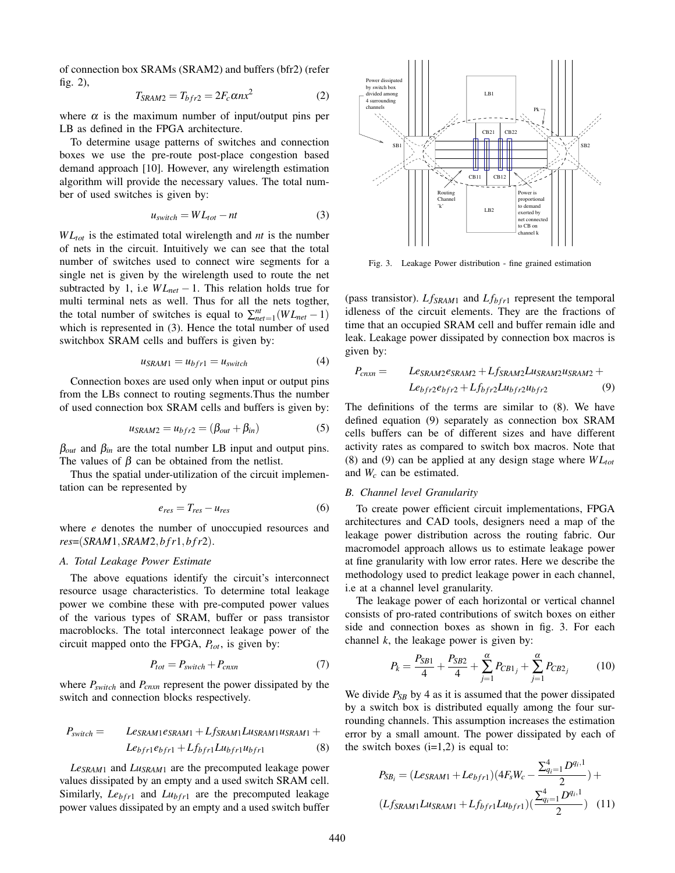of connection box SRAMs (SRAM2) and buffers (bfr2) (refer fig. 2),

$$
T_{SRAM2} = T_{bfr2} = 2F_c \alpha nx^2 \tag{2}
$$

where  $\alpha$  is the maximum number of input/output pins per LB as defined in the FPGA architecture.

To determine usage patterns of switches and connection boxes we use the pre-route post-place congestion based demand approach [10]. However, any wirelength estimation algorithm will provide the necessary values. The total number of used switches is given by:

$$
u_{switch} = WL_{tot} - nt
$$
 (3)

*W Ltot* is the estimated total wirelength and *nt* is the number of nets in the circuit. Intuitively we can see that the total number of switches used to connect wire segments for a single net is given by the wirelength used to route the net subtracted by 1, i.e *W Lnet* − 1. This relation holds true for multi terminal nets as well. Thus for all the nets togther, the total number of switches is equal to  $\sum_{net=1}^{nt} (WL_{net} - 1)$ which is represented in (3). Hence the total number of used switchbox SRAM cells and buffers is given by:

$$
u_{SRAM1} = u_{bfr1} = u_{switch} \tag{4}
$$

Connection boxes are used only when input or output pins from the LBs connect to routing segments.Thus the number of used connection box SRAM cells and buffers is given by:

$$
u_{SRAM2} = u_{bfr2} = (\beta_{out} + \beta_{in})
$$
 (5)

 $\beta_{out}$  and  $\beta_{in}$  are the total number LB input and output pins. The values of  $\beta$  can be obtained from the netlist.

Thus the spatial under-utilization of the circuit implementation can be represented by

$$
e_{res} = T_{res} - u_{res} \tag{6}
$$

where *e* denotes the number of unoccupied resources and *res*=(*SRAM*1*,SRAM*2*,bfr*1*,bfr*2).

### *A. Total Leakage Power Estimate*

The above equations identify the circuit's interconnect resource usage characteristics. To determine total leakage power we combine these with pre-computed power values of the various types of SRAM, buffer or pass transistor macroblocks. The total interconnect leakage power of the circuit mapped onto the FPGA,  $P_{tot}$ , is given by:

$$
P_{tot} = P_{switch} + P_{cnxn} \tag{7}
$$

where *Pswitch* and *Pcnxn* represent the power dissipated by the switch and connection blocks respectively.

$$
P_{switch} = Le_{SRAM1}e_{SRAM1} + Lf_{SRAM1}Lu_{SRAM1}u_{SRAM1} +
$$

$$
Le_{bf1}e_{bf1} + Lf_{bf1}u_{bf1}u_{bf1}u_{bf1}
$$
 (8)

*LeSRAM*<sup>1</sup> and *LuSRAM*<sup>1</sup> are the precomputed leakage power values dissipated by an empty and a used switch SRAM cell. Similarly,  $Le<sub>bf1</sub>$  and  $Lu<sub>bf1</sub>$  are the precomputed leakage power values dissipated by an empty and a used switch buffer



Fig. 3. Leakage Power distribution - fine grained estimation

(pass transistor).  $Lf_{SRAM1}$  and  $Lf_{bfr1}$  represent the temporal idleness of the circuit elements. They are the fractions of time that an occupied SRAM cell and buffer remain idle and leak. Leakage power dissipated by connection box macros is given by:

$$
P_{cnxn} = L_{SRAM2}e_{SRAM2} + L_{SRAM2}L_{USRAM2}u_{SRAM2} + L_{Bfr2}e_{bfr2} + L_{Bfr2}L_{Wfr2}u_{bfr2}
$$
\n(9)

The definitions of the terms are similar to (8). We have defined equation (9) separately as connection box SRAM cells buffers can be of different sizes and have different activity rates as compared to switch box macros. Note that (8) and (9) can be applied at any design stage where  $WL_{tot}$ and *Wc* can be estimated.

### *B. Channel level Granularity*

To create power efficient circuit implementations, FPGA architectures and CAD tools, designers need a map of the leakage power distribution across the routing fabric. Our macromodel approach allows us to estimate leakage power at fine granularity with low error rates. Here we describe the methodology used to predict leakage power in each channel, i.e at a channel level granularity.

The leakage power of each horizontal or vertical channel consists of pro-rated contributions of switch boxes on either side and connection boxes as shown in fig. 3. For each channel *k*, the leakage power is given by:

$$
P_k = \frac{P_{SB1}}{4} + \frac{P_{SB2}}{4} + \sum_{j=1}^{\alpha} P_{CB1_j} + \sum_{j=1}^{\alpha} P_{CB2_j}
$$
 (10)

We divide  $P_{SB}$  by 4 as it is assumed that the power dissipated by a switch box is distributed equally among the four surrounding channels. This assumption increases the estimation error by a small amount. The power dissipated by each of the switch boxes  $(i=1,2)$  is equal to:

$$
P_{SB_i} = (Le_{SRAM1} + Le_{bfr1})(4F_sW_c - \frac{\sum_{q_i=1}^4 D^{q_i,1}}{2}) +
$$
  

$$
(Lf_{SRAM1}Lu_{SRAM1} + Lf_{bfr1}Lu_{bfr1})(\frac{\sum_{q_i=1}^4 D^{q_i,1}}{2})
$$
 (11)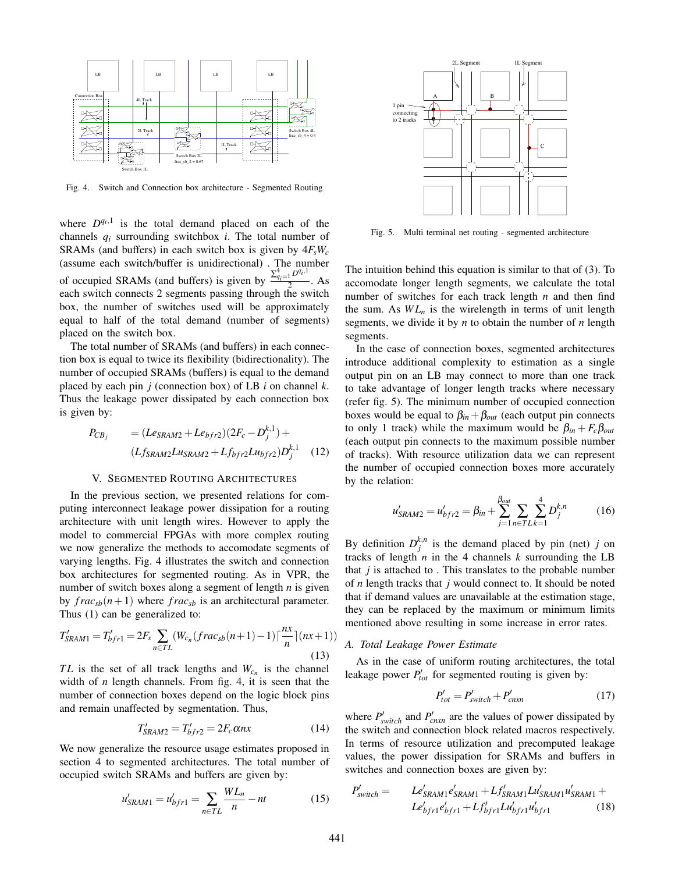

Fig. 4. Switch and Connection box architecture - Segmented Routing

where  $D^{q_i,1}$  is the total demand placed on each of the channels *qi* surrounding switchbox *i*. The total number of SRAMs (and buffers) in each switch box is given by  $4F<sub>s</sub>W<sub>c</sub>$ (assume each switch/buffer is unidirectional) . The number of occupied SRAMs (and buffers) is given by  $\frac{\sum_{q_i=1}^{4} D^{q_i,1}}{2}$ . As each switch connects 2 segments passing through the switch box, the number of switches used will be approximately equal to half of the total demand (number of segments) placed on the switch box.

The total number of SRAMs (and buffers) in each connection box is equal to twice its flexibility (bidirectionality). The number of occupied SRAMs (buffers) is equal to the demand placed by each pin *j* (connection box) of LB *i* on channel *k*. Thus the leakage power dissipated by each connection box is given by:

$$
P_{CB_j} = (Le_{SRAM2} + Le_{bfr2})(2F_c - D_j^{k,1}) +
$$
  

$$
(Lf_{SRAM2}Lu_{SRAM2} + Lf_{bfr2}Lu_{bfr2})D_j^{k,1}
$$
 (12)

#### V. SEGMENTED ROUTING ARCHITECTURES

In the previous section, we presented relations for computing interconnect leakage power dissipation for a routing architecture with unit length wires. However to apply the model to commercial FPGAs with more complex routing we now generalize the methods to accomodate segments of varying lengths. Fig. 4 illustrates the switch and connection box architectures for segmented routing. As in VPR, the number of switch boxes along a segment of length *n* is given by  $frac_{sb}(n+1)$  where  $frac_{sb}$  is an architectural parameter. Thus (1) can be generalized to:

$$
T'_{SRAM1} = T'_{bfr1} = 2F_s \sum_{n \in TL} (W_{c_n}(frac_{s b}(n+1) - 1) \lceil \frac{nx}{n} \rceil (nx+1))
$$
\n(13)

*TL* is the set of all track lengths and  $W_{c_n}$  is the channel width of *n* length channels. From fig. 4, it is seen that the number of connection boxes depend on the logic block pins and remain unaffected by segmentation. Thus,

$$
T'_{SRAM2} = T'_{bfr2} = 2F_c \alpha nx \tag{14}
$$

We now generalize the resource usage estimates proposed in section 4 to segmented architectures. The total number of occupied switch SRAMs and buffers are given by:

$$
u'_{SRAM1} = u'_{bfr1} = \sum_{n \in TL} \frac{WL_n}{n} - nt \tag{15}
$$



Fig. 5. Multi terminal net routing - segmented architecture

The intuition behind this equation is similar to that of (3). To accomodate longer length segments, we calculate the total number of switches for each track length *n* and then find the sum. As  $WL<sub>n</sub>$  is the wirelength in terms of unit length segments, we divide it by *n* to obtain the number of *n* length segments.

In the case of connection boxes, segmented architectures introduce additional complexity to estimation as a single output pin on an LB may connect to more than one track to take advantage of longer length tracks where necessary (refer fig. 5). The minimum number of occupied connection boxes would be equal to  $\beta_{in} + \beta_{out}$  (each output pin connects to only 1 track) while the maximum would be  $\beta_{in} + F_c \beta_{out}$ (each output pin connects to the maximum possible number of tracks). With resource utilization data we can represent the number of occupied connection boxes more accurately by the relation:

$$
u'_{SRAM2} = u'_{bfr2} = \beta_{in} + \sum_{j=1}^{\beta_{out}} \sum_{n \in T} \sum_{k=1}^{4} D_j^{k,n}
$$
 (16)

By definition  $D_j^{k,n}$  is the demand placed by pin (net) *j* on tracks of length  $n$  in the 4 channels  $k$  surrounding the LB that  $j$  is attached to . This translates to the probable number of *n* length tracks that *j* would connect to. It should be noted that if demand values are unavailable at the estimation stage, they can be replaced by the maximum or minimum limits mentioned above resulting in some increase in error rates.

## *A. Total Leakage Power Estimate*

As in the case of uniform routing architectures, the total leakage power  $P_{tot}$  for segmented routing is given by:

$$
P'_{tot} = P'_{switch} + P'_{cnxn} \tag{17}
$$

where  $P'_{switch}$  and  $P'_{cnxn}$  are the values of power dissipated by the switch and connection block related macros respectively. In terms of resource utilization and precomputed leakage values, the power dissipation for SRAMs and buffers in switches and connection boxes are given by:

$$
P'_{switch} = Le'_{SRAM1}e'_{SRAM1} + Lf'_{SRAM1}Lu'_{SRAM1}u'_{SRAM1} +
$$
  

$$
Le'_{bfr1}e'_{bfr1} + Lf'_{bfr1}Lu'_{bfr1}u'_{bfr1}
$$
 (18)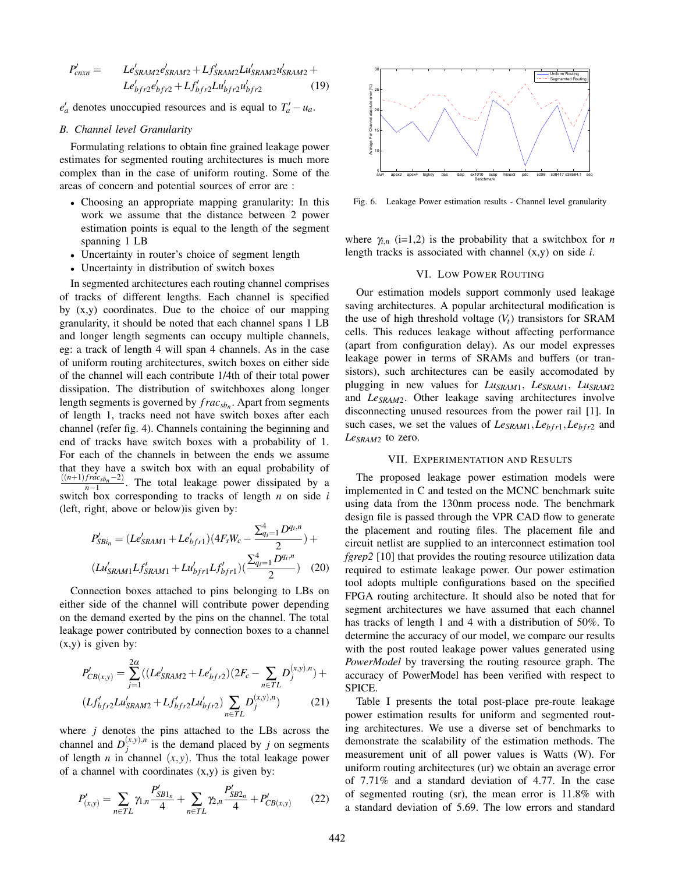$$
P'_{cnxn} = Le'_{SRAM2}e'_{SRAM2} + Lf'_{SRAM2}Lu'_{SRAM2}u'_{SRAM2} +
$$
  

$$
Le'_{bff2}e'_{bf2} + Lf'_{bf2}Lu'_{bf2}u'_{bf2}.
$$
 (19)

 $e'_a$  denotes unoccupied resources and is equal to  $T'_a - u_a$ .

### *B. Channel level Granularity*

Formulating relations to obtain fine grained leakage power estimates for segmented routing architectures is much more complex than in the case of uniform routing. Some of the areas of concern and potential sources of error are :

- Choosing an appropriate mapping granularity: In this work we assume that the distance between 2 power estimation points is equal to the length of the segment spanning 1 LB
- Uncertainty in router's choice of segment length
- Uncertainty in distribution of switch boxes

In segmented architectures each routing channel comprises of tracks of different lengths. Each channel is specified by (x,y) coordinates. Due to the choice of our mapping granularity, it should be noted that each channel spans 1 LB and longer length segments can occupy multiple channels, eg: a track of length 4 will span 4 channels. As in the case of uniform routing architectures, switch boxes on either side of the channel will each contribute 1/4th of their total power dissipation. The distribution of switchboxes along longer length segments is governed by  $frac_{sbc}$ . Apart from segments of length 1, tracks need not have switch boxes after each channel (refer fig. 4). Channels containing the beginning and end of tracks have switch boxes with a probability of 1. For each of the channels in between the ends we assume that they have a switch box with an equal probability of  $\frac{((n+1)frac_{ca_{sbn}-2)}{n-1}}$ . The total leakage power dissipated by a switch box corresponding to tracks of length *n* on side *i* (left, right, above or below)is given by:

$$
P'_{SBi_n} = (Le'_{SRAM1} + Le'_{bfr1})(4F_sW_c - \frac{\sum_{q_i=1}^{4} D^{q_i,n}}{2}) +
$$
  

$$
(Lu'_{SRAM1}Lf'_{SRAM1} + Lu'_{bfr1}Lf'_{bfr1})(\frac{\sum_{q_i=1}^{4} D^{q_i,n}}{2})
$$
 (20)

Connection boxes attached to pins belonging to LBs on either side of the channel will contribute power depending on the demand exerted by the pins on the channel. The total leakage power contributed by connection boxes to a channel  $(x,y)$  is given by:

$$
P'_{CB(x,y)} = \sum_{j=1}^{2\alpha} \left( (Le'_{SRAM2} + Le'_{bfr2}) (2F_c - \sum_{n \in TL} D_j^{(x,y),n}) + (Lf'_{bfr2}Lu'_{SRAM2} + Lf'_{bfr2}Lu'_{bfr2}) \sum_{n \in TL} D_j^{(x,y),n} \right) \tag{21}
$$

where *j* denotes the pins attached to the LBs across the channel and  $D_j^{(x,y),n}$  is the demand placed by *j* on segments of length *n* in channel  $(x, y)$ . Thus the total leakage power of a channel with coordinates  $(x,y)$  is given by:

$$
P'_{(x,y)} = \sum_{n \in TL} \gamma_{1,n} \frac{P'_{SBl_n}}{4} + \sum_{n \in TL} \gamma_{2,n} \frac{P'_{SBl_n}}{4} + P'_{CB(x,y)} \qquad (22)
$$



Fig. 6. Leakage Power estimation results - Channel level granularity

where  $\gamma_{i,n}$  (i=1,2) is the probability that a switchbox for *n* length tracks is associated with channel (x,y) on side *i*.

### VI. LOW POWER ROUTING

Our estimation models support commonly used leakage saving architectures. A popular architectural modification is the use of high threshold voltage  $(V_t)$  transistors for SRAM cells. This reduces leakage without affecting performance (apart from configuration delay). As our model expresses leakage power in terms of SRAMs and buffers (or transistors), such architectures can be easily accomodated by plugging in new values for *LuSRAM*1, *LeSRAM*1, *LuSRAM*<sup>2</sup> and *LeSRAM*2. Other leakage saving architectures involve disconnecting unused resources from the power rail [1]. In such cases, we set the values of *LeSRAM*1*,Lebfr*1*,Lebfr*<sup>2</sup> and *LeSRAM*<sup>2</sup> to zero.

### VII. EXPERIMENTATION AND RESULTS

The proposed leakage power estimation models were implemented in C and tested on the MCNC benchmark suite using data from the 130nm process node. The benchmark design file is passed through the VPR CAD flow to generate the placement and routing files. The placement file and circuit netlist are supplied to an interconnect estimation tool *fgrep2* [10] that provides the routing resource utilization data required to estimate leakage power. Our power estimation tool adopts multiple configurations based on the specified FPGA routing architecture. It should also be noted that for segment architectures we have assumed that each channel has tracks of length 1 and 4 with a distribution of 50%. To determine the accuracy of our model, we compare our results with the post routed leakage power values generated using *PowerModel* by traversing the routing resource graph. The accuracy of PowerModel has been verified with respect to SPICE.

Table I presents the total post-place pre-route leakage power estimation results for uniform and segmented routing architectures. We use a diverse set of benchmarks to demonstrate the scalability of the estimation methods. The measurement unit of all power values is Watts (W). For uniform routing architectures (ur) we obtain an average error of 7.71% and a standard deviation of 4.77. In the case of segmented routing (sr), the mean error is 11.8% with a standard deviation of 5.69. The low errors and standard